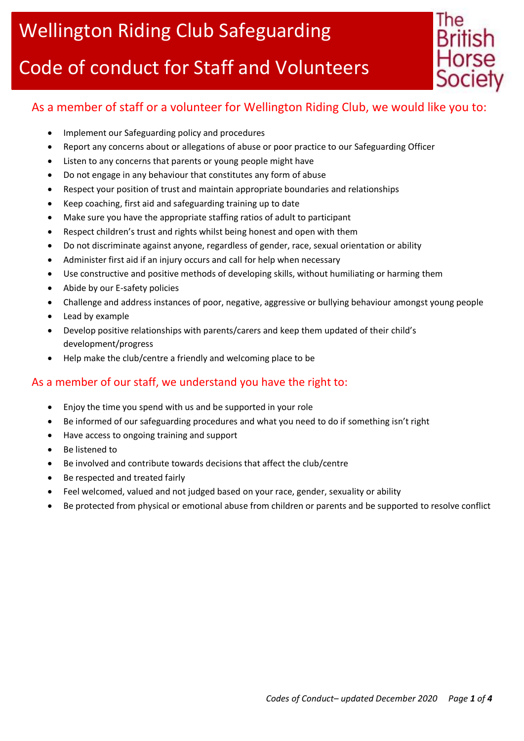## Code of conduct for Staff and Volunteers



## As a member of staff or a volunteer for Wellington Riding Club, we would like you to:

- Implement our Safeguarding policy and procedures
- Report any concerns about or allegations of abuse or poor practice to our Safeguarding Officer
- Listen to any concerns that parents or young people might have
- Do not engage in any behaviour that constitutes any form of abuse
- Respect your position of trust and maintain appropriate boundaries and relationships
- Keep coaching, first aid and safeguarding training up to date
- Make sure you have the appropriate staffing ratios of adult to participant
- Respect children's trust and rights whilst being honest and open with them
- Do not discriminate against anyone, regardless of gender, race, sexual orientation or ability
- Administer first aid if an injury occurs and call for help when necessary
- Use constructive and positive methods of developing skills, without humiliating or harming them
- Abide by our E-safety policies
- Challenge and address instances of poor, negative, aggressive or bullying behaviour amongst young people
- Lead by example
- Develop positive relationships with parents/carers and keep them updated of their child's development/progress
- Help make the club/centre a friendly and welcoming place to be

#### As a member of our staff, we understand you have the right to:

- Enjoy the time you spend with us and be supported in your role
- Be informed of our safeguarding procedures and what you need to do if something isn't right
- Have access to ongoing training and support
- Be listened to
- Be involved and contribute towards decisions that affect the club/centre
- Be respected and treated fairly
- Feel welcomed, valued and not judged based on your race, gender, sexuality or ability
- Be protected from physical or emotional abuse from children or parents and be supported to resolve conflict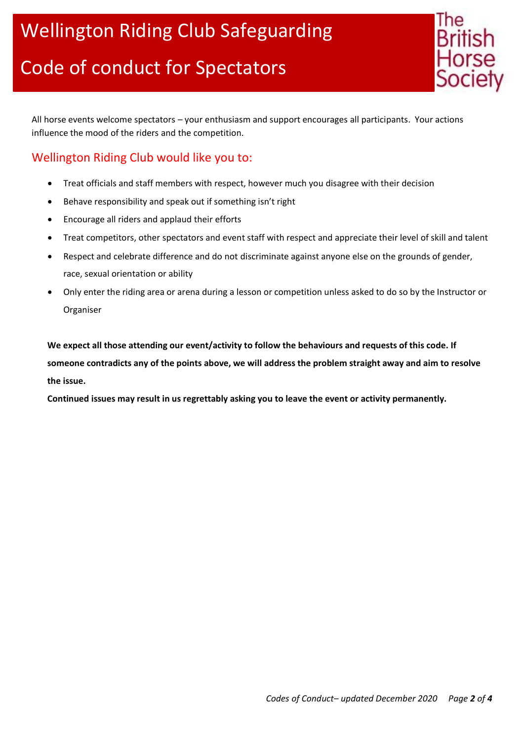

All horse events welcome spectators – your enthusiasm and support encourages all participants. Your actions influence the mood of the riders and the competition.

## Wellington Riding Club would like you to:

- Treat officials and staff members with respect, however much you disagree with their decision
- Behave responsibility and speak out if something isn't right
- Encourage all riders and applaud their efforts
- Treat competitors, other spectators and event staff with respect and appreciate their level of skill and talent
- Respect and celebrate difference and do not discriminate against anyone else on the grounds of gender, race, sexual orientation or ability
- Only enter the riding area or arena during a lesson or competition unless asked to do so by the Instructor or Organiser

**We expect all those attending our event/activity to follow the behaviours and requests of this code. If someone contradicts any of the points above, we will address the problem straight away and aim to resolve the issue.**

**Continued issues may result in us regrettably asking you to leave the event or activity permanently.**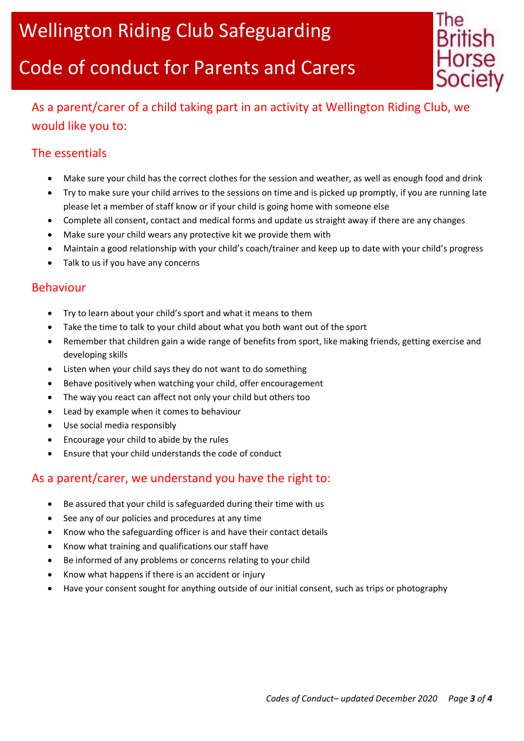# Code of conduct for Parents and Carers



## As a parent/carer of a child taking part in an activity at Wellington Riding Club, we would like you to:

## The essentials

- Make sure your child has the correct clothes for the session and weather, as well as enough food and drink
- Try to make sure your child arrives to the sessions on time and is picked up promptly, if you are running late please let a member of staff know or if your child is going home with someone else
- Complete all consent, contact and medical forms and update us straight away if there are any changes
- Make sure your child wears any protective kit we provide them with
- Maintain a good relationship with your child's coach/trainer and keep up to date with your child's progress
- Talk to us if you have any concerns

#### Behaviour

- Try to learn about your child's sport and what it means to them
- Take the time to talk to your child about what you both want out of the sport
- Remember that children gain a wide range of benefits from sport, like making friends, getting exercise and developing skills
- Listen when your child says they do not want to do something
- Behave positively when watching your child, offer encouragement
- The way you react can affect not only your child but others too
- Lead by example when it comes to behaviour
- Use social media responsibly
- Encourage your child to abide by the rules
- Ensure that your child understands the code of conduct

### As a parent/carer, we understand you have the right to:

- Be assured that your child is safeguarded during their time with us
- See any of our policies and procedures at any time
- Know who the safeguarding officer is and have their contact details
- Know what training and qualifications our staff have
- Be informed of any problems or concerns relating to your child
- Know what happens if there is an accident or injury
- Have your consent sought for anything outside of our initial consent, such as trips or photography